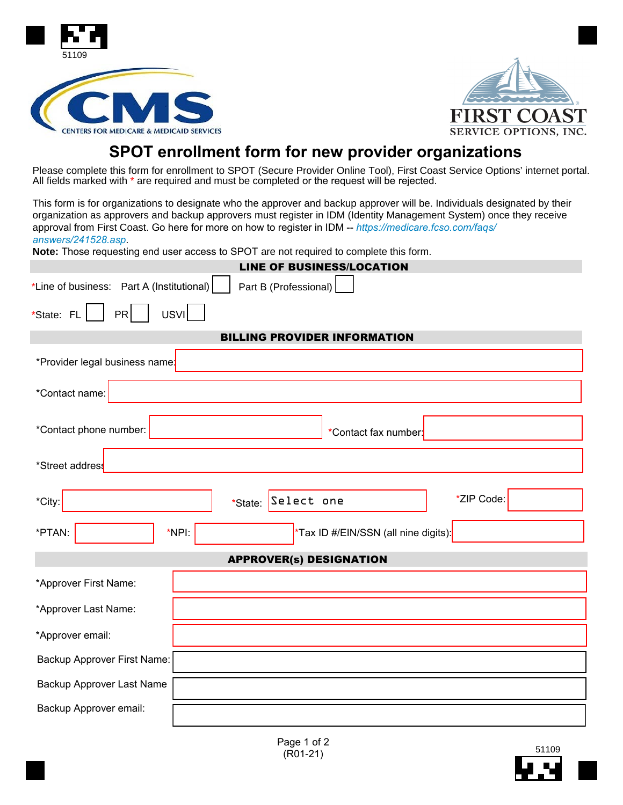



# **SPOT enrollment form for new provider organizations**

Please complete this form for enrollment to SPOT (Secure Provider Online Tool), First Coast Service Options' internet portal. All fields marked with \* are required and must be completed or the request will be rejected.

This form is for organizations to designate who the approver and backup approver will be. Individuals designated by their organization as approvers and backup approvers must register in IDM (Identity Management System) once they receive approval from First Coast. Go here for more on how to register in IDM -- *https://medicare.fcso.com/faqs/ answers/241528.asp*.

**Note:** Those requesting end user access to SPOT are not required to complete this form.

| <b>LINE OF BUSINESS/LOCATION</b>                                   |  |  |  |
|--------------------------------------------------------------------|--|--|--|
| *Line of business: Part A (Institutional)<br>Part B (Professional) |  |  |  |
| PR<br><b>USVI</b><br>*State: FL                                    |  |  |  |
| <b>BILLING PROVIDER INFORMATION</b>                                |  |  |  |
| *Provider legal business name:                                     |  |  |  |
| *Contact name:                                                     |  |  |  |
| *Contact phone number:<br>*Contact fax number:                     |  |  |  |
| *Street address                                                    |  |  |  |
| *ZIP Code:<br>*State: Select one<br>*City:                         |  |  |  |
| *PTAN:<br>*NPI:<br>*Tax ID #/EIN/SSN (all nine digits):            |  |  |  |
| <b>APPROVER(s) DESIGNATION</b>                                     |  |  |  |
| *Approver First Name:                                              |  |  |  |
| *Approver Last Name:                                               |  |  |  |
| *Approver email:                                                   |  |  |  |
| Backup Approver First Name:                                        |  |  |  |
| Backup Approver Last Name                                          |  |  |  |
| Backup Approver email:                                             |  |  |  |